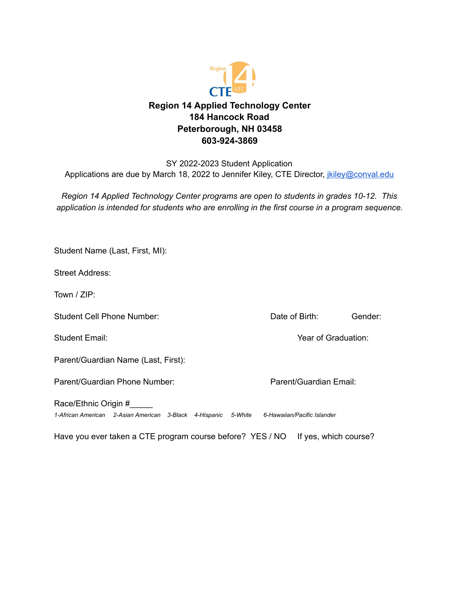

## SY 2022-2023 Student Application Applications are due by March 18, 2022 to Jennifer Kiley, CTE Director, *[jkiley@conval.edu](mailto:jkiley@conval.edu)*

*Region 14 Applied Technology Center programs are open to students in grades 10-12. This application is intended for students who are enrolling in the first course in a program sequence.*

| Student Name (Last, First, MI):                                                                                    |                        |                     |  |
|--------------------------------------------------------------------------------------------------------------------|------------------------|---------------------|--|
| <b>Street Address:</b>                                                                                             |                        |                     |  |
| Town / $ZIP$ :                                                                                                     |                        |                     |  |
| <b>Student Cell Phone Number:</b>                                                                                  | Date of Birth:         | Gender:             |  |
| <b>Student Email:</b>                                                                                              |                        | Year of Graduation: |  |
| Parent/Guardian Name (Last, First):                                                                                |                        |                     |  |
| Parent/Guardian Phone Number:                                                                                      | Parent/Guardian Email: |                     |  |
| Race/Ethnic Origin #<br>1-African American 2-Asian American 3-Black 4-Hispanic 5-White 6-Hawaiian/Pacific Islander |                        |                     |  |
| Have you ever taken a CTE program course before? YES / NO                                                          | If yes, which course?  |                     |  |